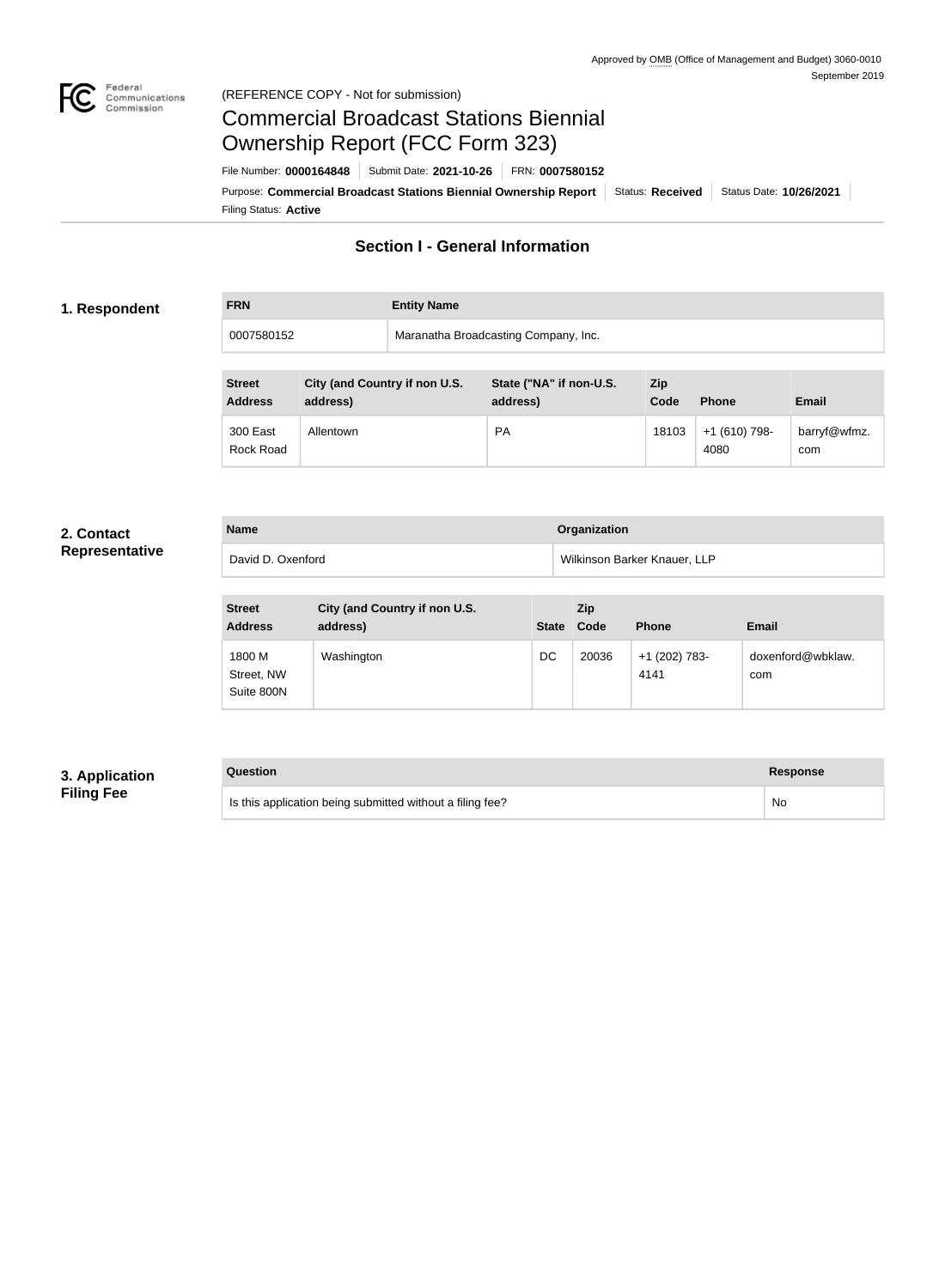

# Federal<br>Communications<br>Commission (REFERENCE COPY - Not for submission)

# Commercial Broadcast Stations Biennial Ownership Report (FCC Form 323)

Filing Status: **Active** Purpose: Commercial Broadcast Stations Biennial Ownership Report Status: Received Status Date: 10/26/2021 File Number: **0000164848** Submit Date: **2021-10-26** FRN: **0007580152**

# **Section I - General Information**

# **1. Respondent**

**FRN Entity Name**

0007580152 Maranatha Broadcasting Company, Inc.

| <b>Street</b><br><b>Address</b> | City (and Country if non U.S.<br>address) | State ("NA" if non-U.S.<br>address) | Zip<br>Code | <b>Phone</b>          | <b>Email</b>        |
|---------------------------------|-------------------------------------------|-------------------------------------|-------------|-----------------------|---------------------|
| 300 East<br>Rock Road           | Allentown                                 | <b>PA</b>                           | 18103       | +1 (610) 798-<br>4080 | barryf@wfmz.<br>com |

### **2. Contact Representative**

| <b>Name</b>       | <b>Organization</b>          |
|-------------------|------------------------------|
| David D. Oxenford | Wilkinson Barker Knauer, LLP |

| <b>Street</b><br><b>Address</b>    | City (and Country if non U.S.<br>address) | <b>State</b> | <b>Zip</b><br>Code | <b>Phone</b>          | <b>Email</b>             |
|------------------------------------|-------------------------------------------|--------------|--------------------|-----------------------|--------------------------|
| 1800 M<br>Street, NW<br>Suite 800N | Washington                                | DC           | 20036              | +1 (202) 783-<br>4141 | doxenford@wbklaw.<br>com |

# **3. Application Filing Fee**

# **Question Response**

Is this application being submitted without a filing fee? No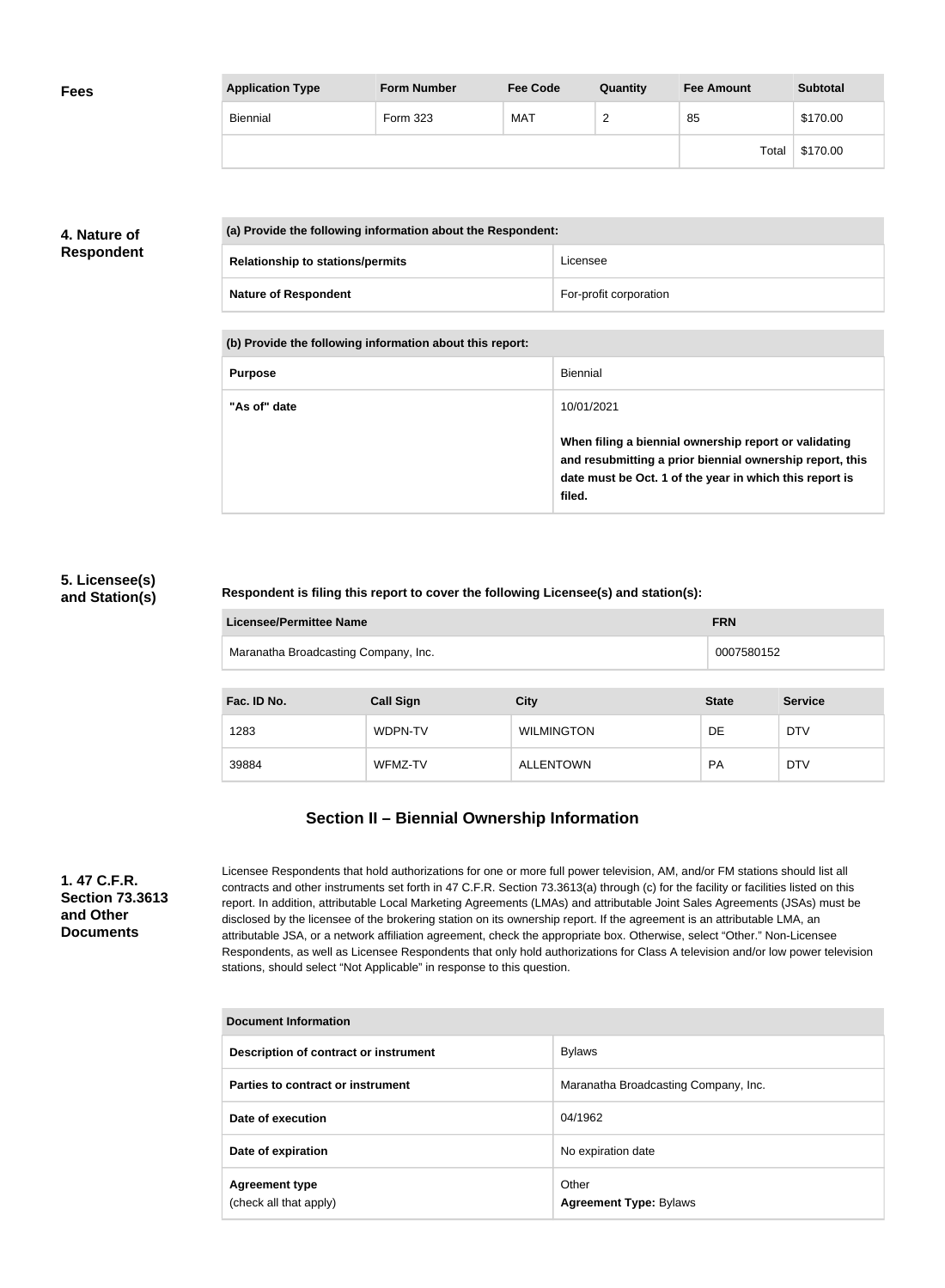| <b>Fees</b> | <b>Application Type</b> | <b>Form Number</b> | <b>Fee Code</b> | Quantity           | <b>Fee Amount</b> | <b>Subtotal</b> |
|-------------|-------------------------|--------------------|-----------------|--------------------|-------------------|-----------------|
|             | Biennial                | Form 323           | <b>MAT</b>      | $\sim$<br><u>_</u> | 85                | \$170.00        |
|             |                         |                    |                 |                    | Total             | \$170.00        |

# **4. Nature of Respondent**

| (a) Provide the following information about the Respondent: |                        |
|-------------------------------------------------------------|------------------------|
| <b>Relationship to stations/permits</b>                     | Licensee               |
| <b>Nature of Respondent</b>                                 | For-profit corporation |

**(b) Provide the following information about this report:**

| <b>Purpose</b> | Biennial                                                                                                                                                                               |
|----------------|----------------------------------------------------------------------------------------------------------------------------------------------------------------------------------------|
| "As of" date   | 10/01/2021                                                                                                                                                                             |
|                | When filing a biennial ownership report or validating<br>and resubmitting a prior biennial ownership report, this<br>date must be Oct. 1 of the year in which this report is<br>filed. |

# **5. Licensee(s) and Station(s)**

# **Respondent is filing this report to cover the following Licensee(s) and station(s):**

| Licensee/Permittee Name              | <b>FRN</b> |
|--------------------------------------|------------|
| Maranatha Broadcasting Company, Inc. | 0007580152 |

| Fac. ID No. | <b>Call Sign</b> | <b>City</b>       | <b>State</b> | <b>Service</b> |
|-------------|------------------|-------------------|--------------|----------------|
| 1283        | WDPN-TV          | <b>WILMINGTON</b> | DE           | <b>DTV</b>     |
| 39884       | WFMZ-TV          | <b>ALLENTOWN</b>  | <b>PA</b>    | <b>DTV</b>     |

# **Section II – Biennial Ownership Information**

**1. 47 C.F.R. Section 73.3613 and Other Documents**

Licensee Respondents that hold authorizations for one or more full power television, AM, and/or FM stations should list all contracts and other instruments set forth in 47 C.F.R. Section 73.3613(a) through (c) for the facility or facilities listed on this report. In addition, attributable Local Marketing Agreements (LMAs) and attributable Joint Sales Agreements (JSAs) must be disclosed by the licensee of the brokering station on its ownership report. If the agreement is an attributable LMA, an attributable JSA, or a network affiliation agreement, check the appropriate box. Otherwise, select "Other." Non-Licensee Respondents, as well as Licensee Respondents that only hold authorizations for Class A television and/or low power television stations, should select "Not Applicable" in response to this question.

| <b>Document Information</b>                     |                                        |  |
|-------------------------------------------------|----------------------------------------|--|
| Description of contract or instrument           | <b>Bylaws</b>                          |  |
| Parties to contract or instrument               | Maranatha Broadcasting Company, Inc.   |  |
| Date of execution                               | 04/1962                                |  |
| Date of expiration                              | No expiration date                     |  |
| <b>Agreement type</b><br>(check all that apply) | Other<br><b>Agreement Type: Bylaws</b> |  |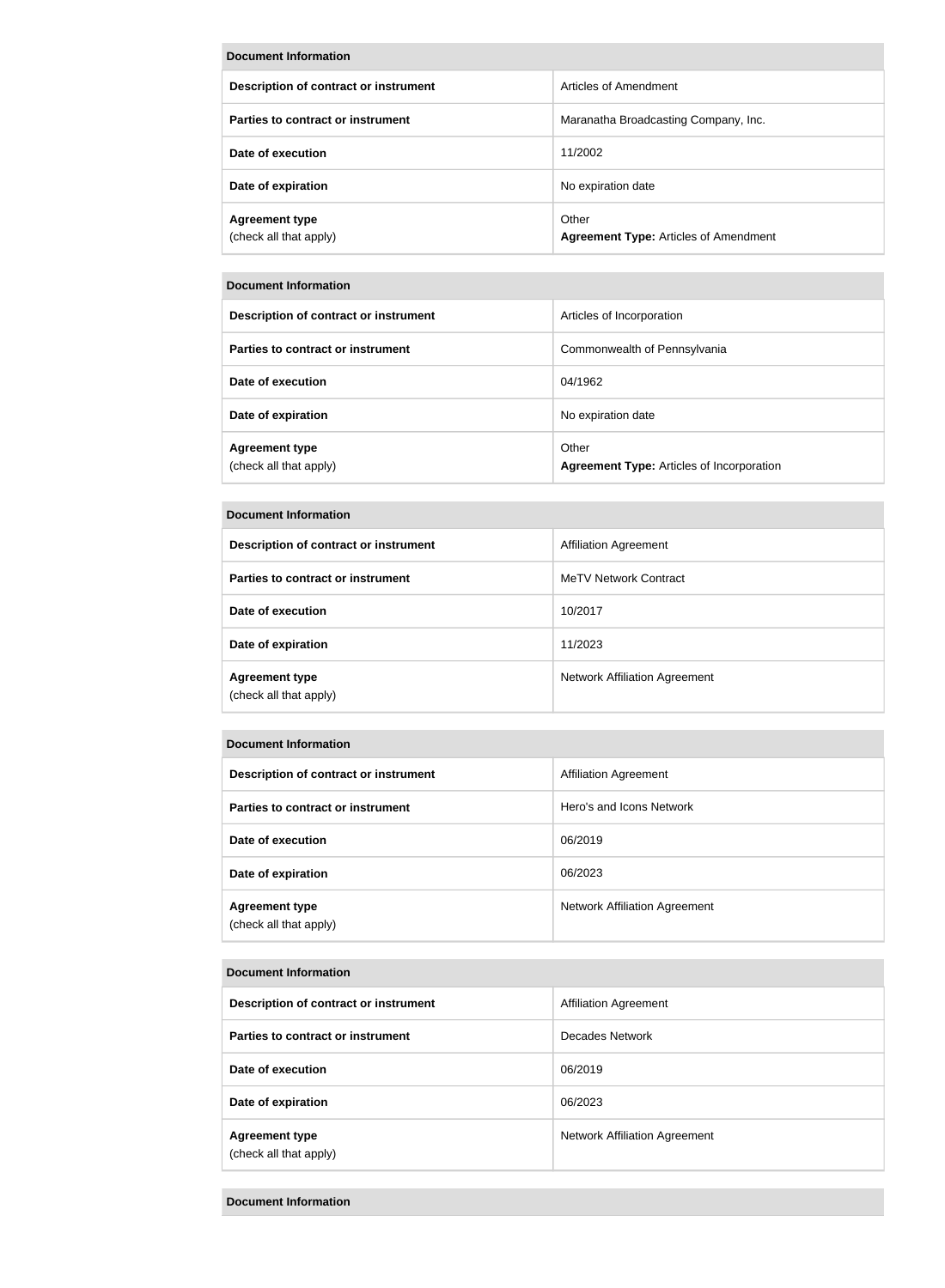| Document Information                            |                                                       |  |
|-------------------------------------------------|-------------------------------------------------------|--|
| Description of contract or instrument           | Articles of Amendment                                 |  |
| Parties to contract or instrument               | Maranatha Broadcasting Company, Inc.                  |  |
| Date of execution                               | 11/2002                                               |  |
| Date of expiration                              | No expiration date                                    |  |
| <b>Agreement type</b><br>(check all that apply) | Other<br><b>Agreement Type: Articles of Amendment</b> |  |

### **Document Information**

| Description of contract or instrument           | Articles of Incorporation                                 |
|-------------------------------------------------|-----------------------------------------------------------|
| Parties to contract or instrument               | Commonwealth of Pennsylvania                              |
| Date of execution                               | 04/1962                                                   |
| Date of expiration                              | No expiration date                                        |
| <b>Agreement type</b><br>(check all that apply) | Other<br><b>Agreement Type: Articles of Incorporation</b> |

# **Document Information**

| Description of contract or instrument           | <b>Affiliation Agreement</b>  |
|-------------------------------------------------|-------------------------------|
| Parties to contract or instrument               | MeTV Network Contract         |
| Date of execution                               | 10/2017                       |
| Date of expiration                              | 11/2023                       |
| <b>Agreement type</b><br>(check all that apply) | Network Affiliation Agreement |

# **Document Information**

| Description of contract or instrument           | <b>Affiliation Agreement</b>         |
|-------------------------------------------------|--------------------------------------|
| Parties to contract or instrument               | Hero's and Icons Network             |
| Date of execution                               | 06/2019                              |
| Date of expiration                              | 06/2023                              |
| <b>Agreement type</b><br>(check all that apply) | <b>Network Affiliation Agreement</b> |

#### **Document Information**

| Description of contract or instrument           | <b>Affiliation Agreement</b>         |
|-------------------------------------------------|--------------------------------------|
| Parties to contract or instrument               | Decades Network                      |
| Date of execution                               | 06/2019                              |
| Date of expiration                              | 06/2023                              |
| <b>Agreement type</b><br>(check all that apply) | <b>Network Affiliation Agreement</b> |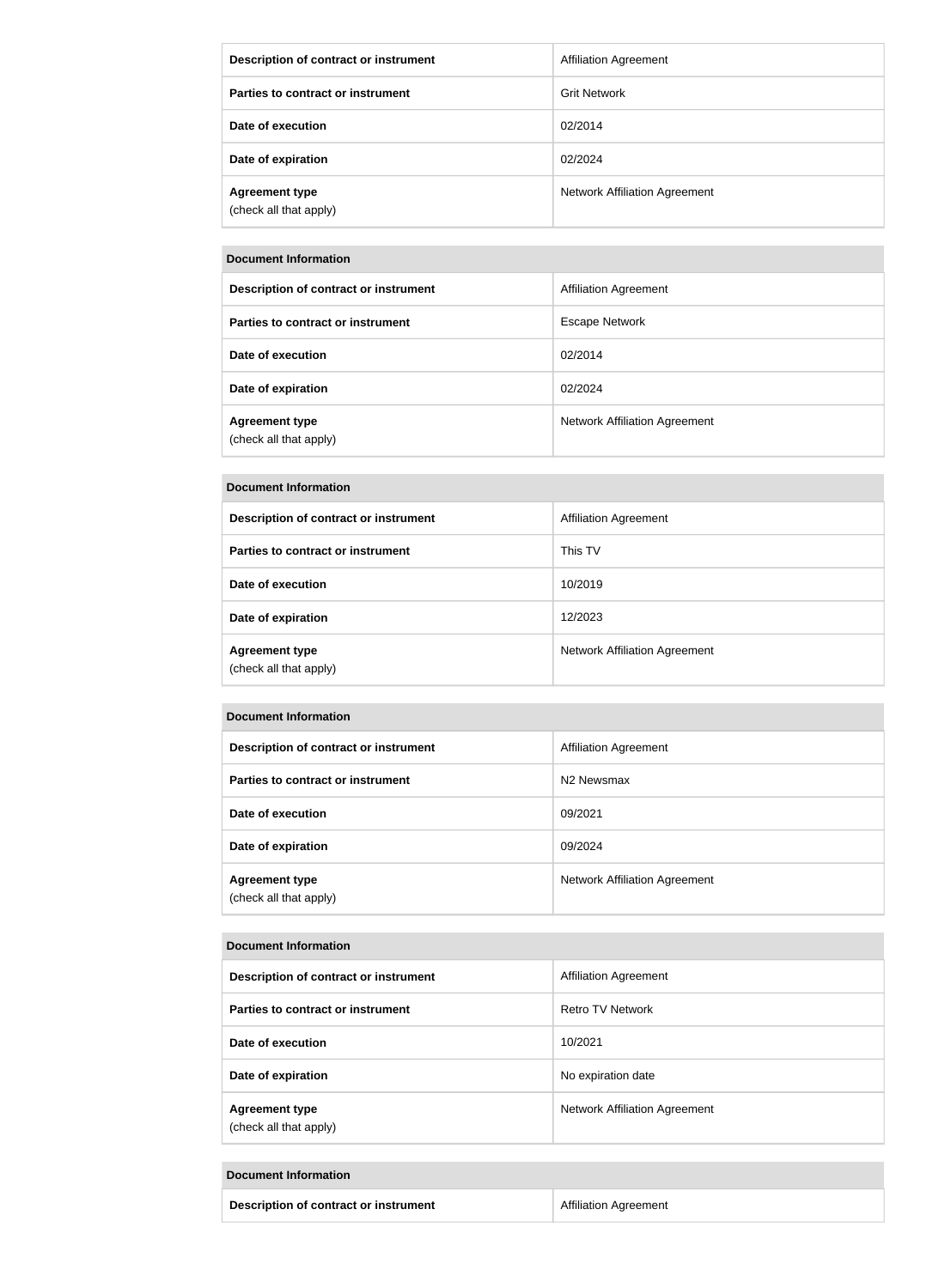| Description of contract or instrument           | <b>Affiliation Agreement</b>         |
|-------------------------------------------------|--------------------------------------|
| Parties to contract or instrument               | <b>Grit Network</b>                  |
| Date of execution                               | 02/2014                              |
| Date of expiration                              | 02/2024                              |
| <b>Agreement type</b><br>(check all that apply) | <b>Network Affiliation Agreement</b> |

# **Document Information**

| Description of contract or instrument           | <b>Affiliation Agreement</b>         |
|-------------------------------------------------|--------------------------------------|
| Parties to contract or instrument               | <b>Escape Network</b>                |
| Date of execution                               | 02/2014                              |
| Date of expiration                              | 02/2024                              |
| <b>Agreement type</b><br>(check all that apply) | <b>Network Affiliation Agreement</b> |

### **Document Information**

| Description of contract or instrument           | <b>Affiliation Agreement</b>         |
|-------------------------------------------------|--------------------------------------|
| Parties to contract or instrument               | This TV                              |
| Date of execution                               | 10/2019                              |
| Date of expiration                              | 12/2023                              |
| <b>Agreement type</b><br>(check all that apply) | <b>Network Affiliation Agreement</b> |

### **Document Information**

| Description of contract or instrument           | <b>Affiliation Agreement</b>         |
|-------------------------------------------------|--------------------------------------|
| Parties to contract or instrument               | N <sub>2</sub> Newsmax               |
| Date of execution                               | 09/2021                              |
| Date of expiration                              | 09/2024                              |
| <b>Agreement type</b><br>(check all that apply) | <b>Network Affiliation Agreement</b> |

#### **Document Information**

| Description of contract or instrument           | Affiliation Agreement                |
|-------------------------------------------------|--------------------------------------|
| Parties to contract or instrument               | Retro TV Network                     |
| Date of execution                               | 10/2021                              |
| Date of expiration                              | No expiration date                   |
| <b>Agreement type</b><br>(check all that apply) | <b>Network Affiliation Agreement</b> |

#### **Document Information**

| Description of contract or instrument | <b>Affiliation Agreement</b> |
|---------------------------------------|------------------------------|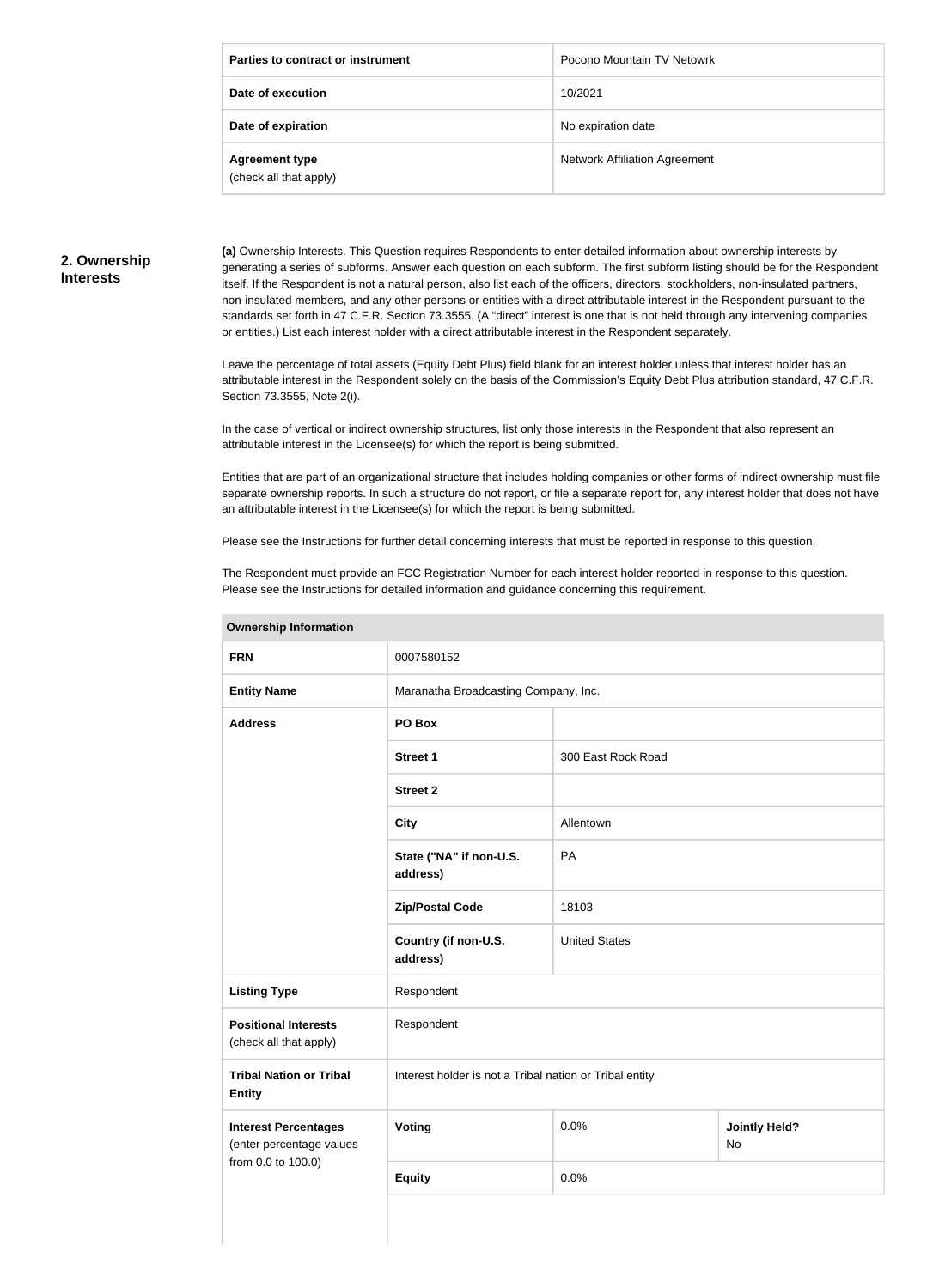| Parties to contract or instrument               | Pocono Mountain TV Netowrk           |
|-------------------------------------------------|--------------------------------------|
| Date of execution                               | 10/2021                              |
| Date of expiration                              | No expiration date                   |
| <b>Agreement type</b><br>(check all that apply) | <b>Network Affiliation Agreement</b> |

#### **2. Ownership Interests**

**(a)** Ownership Interests. This Question requires Respondents to enter detailed information about ownership interests by generating a series of subforms. Answer each question on each subform. The first subform listing should be for the Respondent itself. If the Respondent is not a natural person, also list each of the officers, directors, stockholders, non-insulated partners, non-insulated members, and any other persons or entities with a direct attributable interest in the Respondent pursuant to the standards set forth in 47 C.F.R. Section 73.3555. (A "direct" interest is one that is not held through any intervening companies or entities.) List each interest holder with a direct attributable interest in the Respondent separately.

Leave the percentage of total assets (Equity Debt Plus) field blank for an interest holder unless that interest holder has an attributable interest in the Respondent solely on the basis of the Commission's Equity Debt Plus attribution standard, 47 C.F.R. Section 73.3555, Note 2(i).

In the case of vertical or indirect ownership structures, list only those interests in the Respondent that also represent an attributable interest in the Licensee(s) for which the report is being submitted.

Entities that are part of an organizational structure that includes holding companies or other forms of indirect ownership must file separate ownership reports. In such a structure do not report, or file a separate report for, any interest holder that does not have an attributable interest in the Licensee(s) for which the report is being submitted.

Please see the Instructions for further detail concerning interests that must be reported in response to this question.

The Respondent must provide an FCC Registration Number for each interest holder reported in response to this question. Please see the Instructions for detailed information and guidance concerning this requirement.

| <b>Ownership Information</b>                            |                                                         |                      |                            |  |
|---------------------------------------------------------|---------------------------------------------------------|----------------------|----------------------------|--|
| <b>FRN</b>                                              | 0007580152                                              |                      |                            |  |
| <b>Entity Name</b>                                      | Maranatha Broadcasting Company, Inc.                    |                      |                            |  |
| <b>Address</b>                                          | PO Box                                                  |                      |                            |  |
|                                                         | <b>Street 1</b>                                         | 300 East Rock Road   |                            |  |
|                                                         | <b>Street 2</b>                                         |                      |                            |  |
|                                                         | <b>City</b>                                             | Allentown            |                            |  |
|                                                         | State ("NA" if non-U.S.<br>address)                     | PA                   |                            |  |
|                                                         | <b>Zip/Postal Code</b>                                  | 18103                |                            |  |
|                                                         | Country (if non-U.S.<br>address)                        | <b>United States</b> |                            |  |
| <b>Listing Type</b>                                     | Respondent                                              |                      |                            |  |
| <b>Positional Interests</b><br>(check all that apply)   | Respondent                                              |                      |                            |  |
| <b>Tribal Nation or Tribal</b><br><b>Entity</b>         | Interest holder is not a Tribal nation or Tribal entity |                      |                            |  |
| <b>Interest Percentages</b><br>(enter percentage values | <b>Voting</b>                                           | 0.0%                 | <b>Jointly Held?</b><br>No |  |
| from 0.0 to 100.0)                                      | <b>Equity</b>                                           | 0.0%                 |                            |  |
|                                                         |                                                         |                      |                            |  |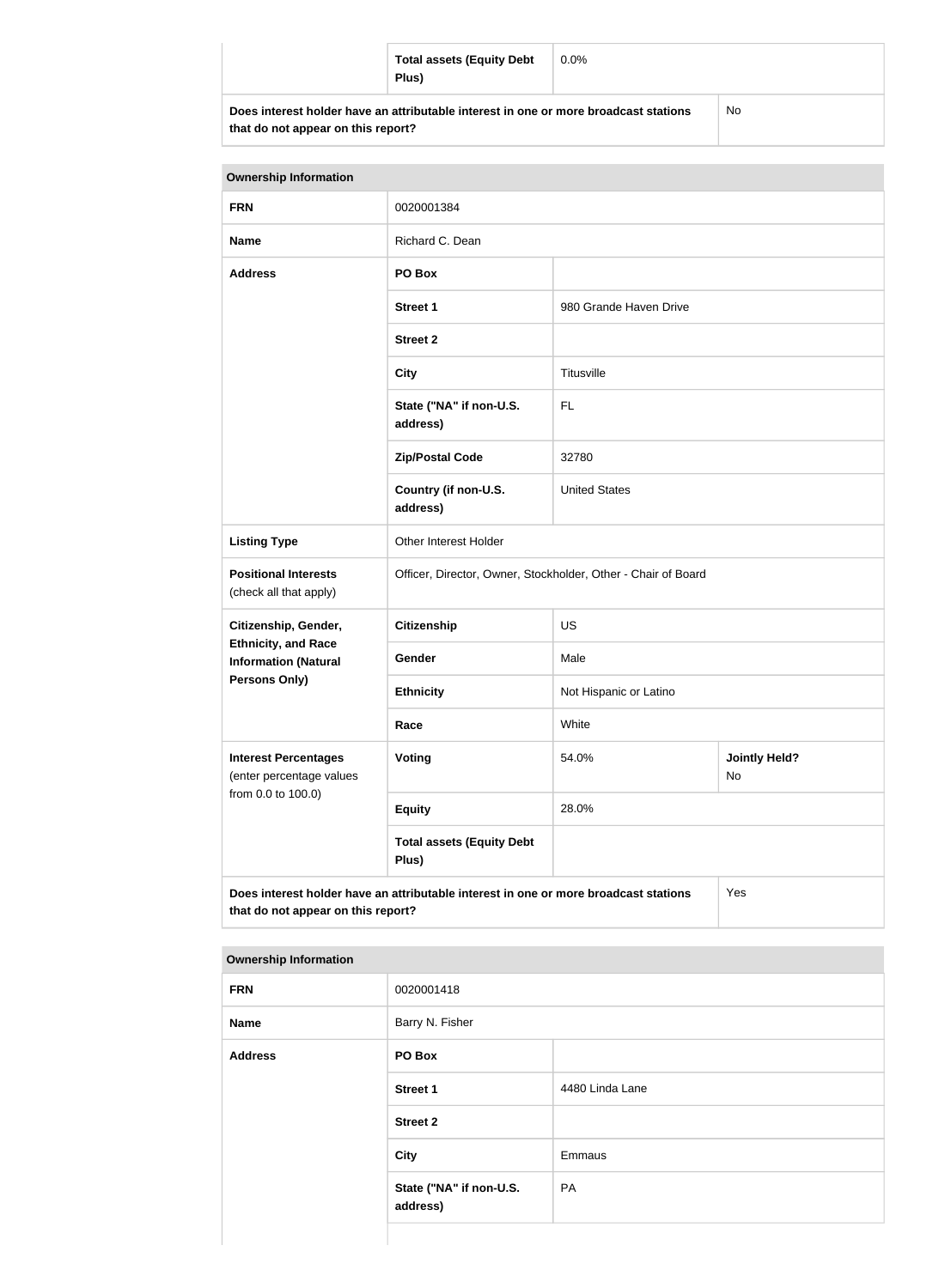| <b>Total assets (Equity Debt</b><br>Plus)                                            | $0.0\%$ |           |
|--------------------------------------------------------------------------------------|---------|-----------|
| Does interest holder have an attributable interest in one or more broadcast stations |         | <b>No</b> |

| that do not appear on this report? |  |  |  |  |
|------------------------------------|--|--|--|--|
|------------------------------------|--|--|--|--|

| <b>Ownership Information</b>                                                                                                      |                                                               |                                     |  |  |
|-----------------------------------------------------------------------------------------------------------------------------------|---------------------------------------------------------------|-------------------------------------|--|--|
| <b>FRN</b>                                                                                                                        | 0020001384                                                    |                                     |  |  |
| <b>Name</b>                                                                                                                       | Richard C. Dean                                               |                                     |  |  |
| <b>Address</b>                                                                                                                    | PO Box                                                        |                                     |  |  |
|                                                                                                                                   | <b>Street 1</b>                                               | 980 Grande Haven Drive              |  |  |
|                                                                                                                                   | <b>Street 2</b>                                               |                                     |  |  |
|                                                                                                                                   | <b>City</b>                                                   | Titusville                          |  |  |
|                                                                                                                                   | State ("NA" if non-U.S.<br>address)                           | <b>FL</b>                           |  |  |
|                                                                                                                                   | <b>Zip/Postal Code</b>                                        | 32780                               |  |  |
|                                                                                                                                   | Country (if non-U.S.<br><b>United States</b><br>address)      |                                     |  |  |
| <b>Listing Type</b>                                                                                                               | <b>Other Interest Holder</b>                                  |                                     |  |  |
| <b>Positional Interests</b><br>(check all that apply)                                                                             | Officer, Director, Owner, Stockholder, Other - Chair of Board |                                     |  |  |
| Citizenship, Gender,                                                                                                              | <b>Citizenship</b>                                            | <b>US</b>                           |  |  |
| <b>Ethnicity, and Race</b><br><b>Information (Natural</b>                                                                         | Gender                                                        | Male                                |  |  |
| <b>Persons Only)</b>                                                                                                              | <b>Ethnicity</b>                                              | Not Hispanic or Latino              |  |  |
|                                                                                                                                   | Race                                                          | White                               |  |  |
| <b>Interest Percentages</b><br>(enter percentage values                                                                           | Voting                                                        | <b>Jointly Held?</b><br>54.0%<br>No |  |  |
| from 0.0 to 100.0)                                                                                                                | <b>Equity</b>                                                 | 28.0%                               |  |  |
|                                                                                                                                   | <b>Total assets (Equity Debt</b><br>Plus)                     |                                     |  |  |
| Does interest holder have an attributable interest in one or more broadcast stations<br>Yes<br>that do not appear on this report? |                                                               |                                     |  |  |

|  | <b>Ownership Information</b> |
|--|------------------------------|
|--|------------------------------|

| <b>FRN</b>     | 0020001418                          |                 |
|----------------|-------------------------------------|-----------------|
| <b>Name</b>    | Barry N. Fisher                     |                 |
| <b>Address</b> | PO Box                              |                 |
|                | <b>Street 1</b>                     | 4480 Linda Lane |
|                | <b>Street 2</b>                     |                 |
|                | <b>City</b>                         | Emmaus          |
|                | State ("NA" if non-U.S.<br>address) | PA              |
|                |                                     |                 |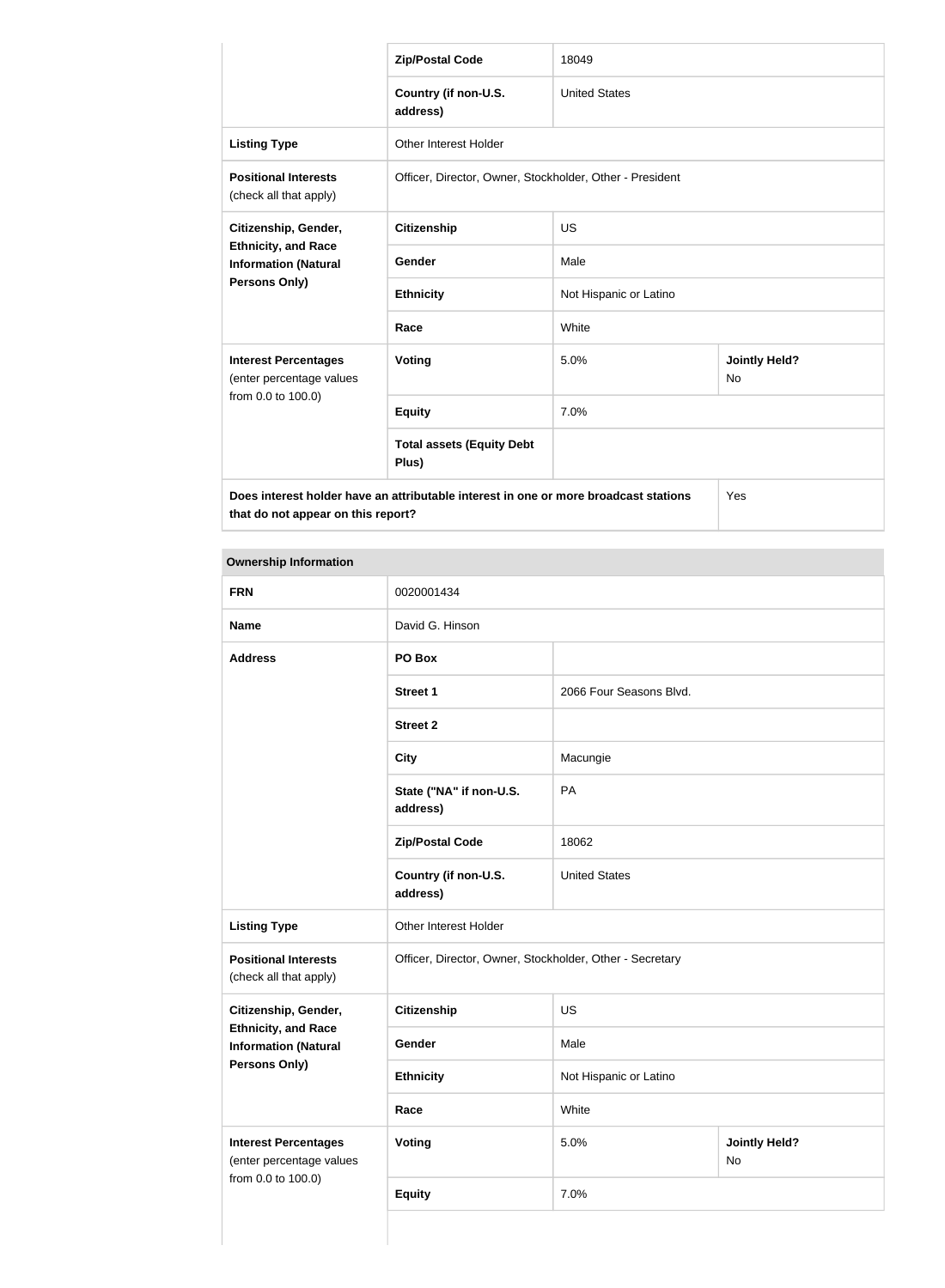|                                                                                      | <b>Zip/Postal Code</b>                                   | 18049                  |                            |  |
|--------------------------------------------------------------------------------------|----------------------------------------------------------|------------------------|----------------------------|--|
|                                                                                      | Country (if non-U.S.<br>address)                         | <b>United States</b>   |                            |  |
| <b>Listing Type</b>                                                                  | <b>Other Interest Holder</b>                             |                        |                            |  |
| <b>Positional Interests</b><br>(check all that apply)                                | Officer, Director, Owner, Stockholder, Other - President |                        |                            |  |
| Citizenship, Gender,<br><b>Ethnicity, and Race</b><br><b>Information (Natural</b>    | <b>Citizenship</b>                                       | <b>US</b>              |                            |  |
|                                                                                      | <b>Gender</b>                                            | Male                   |                            |  |
| Persons Only)                                                                        | <b>Ethnicity</b>                                         | Not Hispanic or Latino |                            |  |
|                                                                                      | Race                                                     | White                  |                            |  |
| <b>Interest Percentages</b><br>(enter percentage values                              | <b>Voting</b>                                            | 5.0%                   | <b>Jointly Held?</b><br>No |  |
| from 0.0 to 100.0)                                                                   | <b>Equity</b>                                            | 7.0%                   |                            |  |
|                                                                                      | <b>Total assets (Equity Debt</b><br>Plus)                |                        |                            |  |
| Does interest holder have an attributable interest in one or more broadcast stations |                                                          |                        | Yes                        |  |

**that do not appear on this report?**

| <b>Ownership Information</b>                              |                                                          |                         |                            |
|-----------------------------------------------------------|----------------------------------------------------------|-------------------------|----------------------------|
| <b>FRN</b>                                                | 0020001434                                               |                         |                            |
| <b>Name</b>                                               | David G. Hinson                                          |                         |                            |
| <b>Address</b>                                            | PO Box                                                   |                         |                            |
|                                                           | <b>Street 1</b>                                          | 2066 Four Seasons Blvd. |                            |
|                                                           | <b>Street 2</b>                                          |                         |                            |
|                                                           | <b>City</b>                                              | Macungie                |                            |
|                                                           | State ("NA" if non-U.S.<br>address)                      | PA                      |                            |
|                                                           | <b>Zip/Postal Code</b>                                   | 18062                   |                            |
|                                                           | Country (if non-U.S.<br>address)                         | <b>United States</b>    |                            |
| <b>Listing Type</b>                                       | Other Interest Holder                                    |                         |                            |
| <b>Positional Interests</b><br>(check all that apply)     | Officer, Director, Owner, Stockholder, Other - Secretary |                         |                            |
| Citizenship, Gender,                                      | <b>Citizenship</b>                                       | US                      |                            |
| <b>Ethnicity, and Race</b><br><b>Information (Natural</b> | Gender                                                   | Male                    |                            |
| <b>Persons Only)</b>                                      | <b>Ethnicity</b>                                         | Not Hispanic or Latino  |                            |
|                                                           | Race                                                     | White                   |                            |
| <b>Interest Percentages</b><br>(enter percentage values   | Voting                                                   | 5.0%                    | <b>Jointly Held?</b><br>No |
| from 0.0 to 100.0)                                        | <b>Equity</b>                                            | 7.0%                    |                            |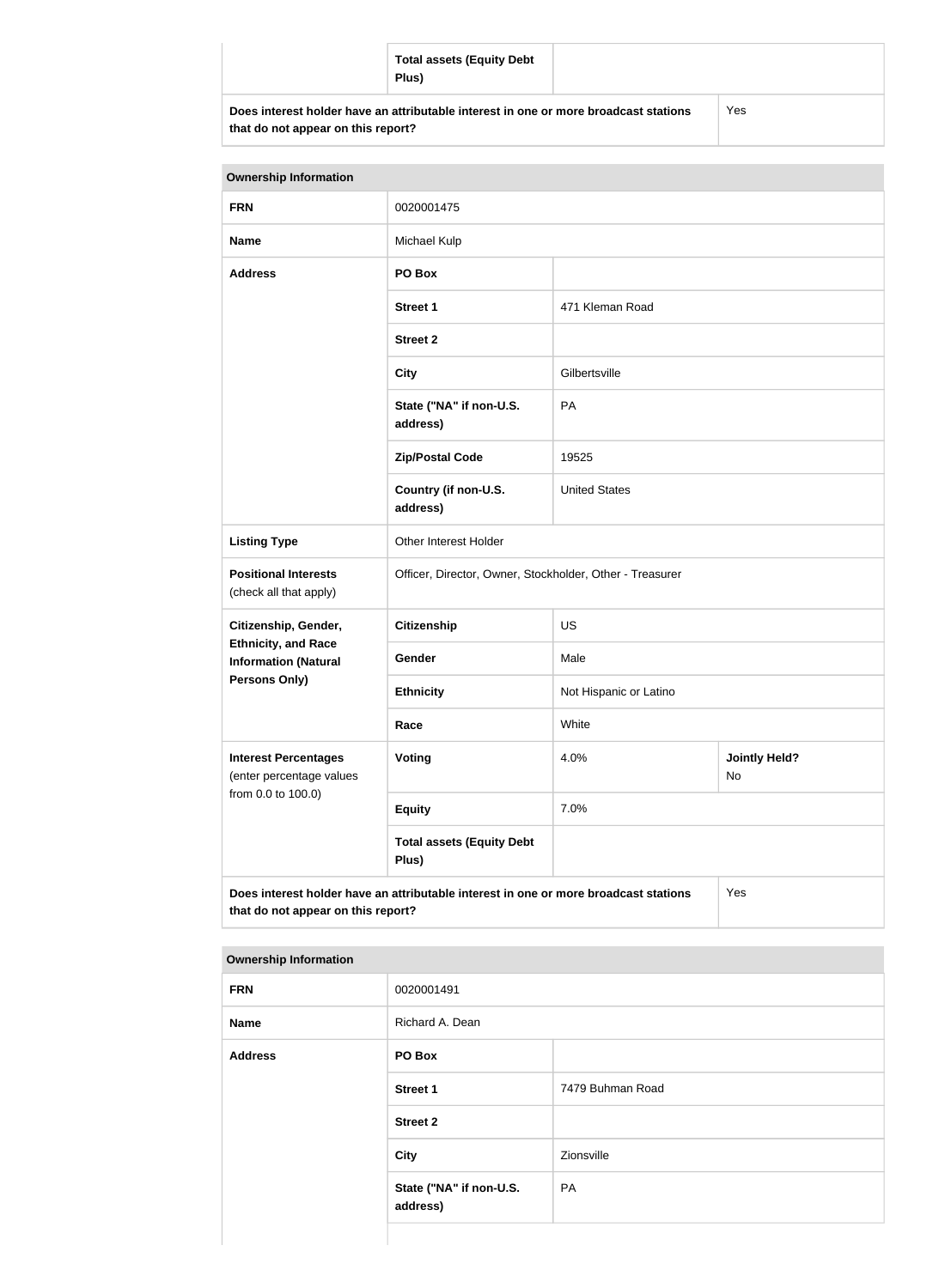|                                                                                                                            | <b>Total assets (Equity Debt</b><br>Plus) |     |
|----------------------------------------------------------------------------------------------------------------------------|-------------------------------------------|-----|
| Does interest holder have an attributable interest in one or more broadcast stations<br>that do not appear on this report? |                                           | Yes |

| <b>Ownership Information</b>                                                                                                      |                                                          |                        |                            |  |
|-----------------------------------------------------------------------------------------------------------------------------------|----------------------------------------------------------|------------------------|----------------------------|--|
| <b>FRN</b>                                                                                                                        | 0020001475                                               |                        |                            |  |
| <b>Name</b>                                                                                                                       | Michael Kulp                                             |                        |                            |  |
| <b>Address</b>                                                                                                                    | PO Box                                                   |                        |                            |  |
|                                                                                                                                   | <b>Street 1</b>                                          | 471 Kleman Road        |                            |  |
|                                                                                                                                   | <b>Street 2</b>                                          |                        |                            |  |
|                                                                                                                                   | <b>City</b>                                              | Gilbertsville          |                            |  |
|                                                                                                                                   | State ("NA" if non-U.S.<br>address)                      | PA                     |                            |  |
|                                                                                                                                   | <b>Zip/Postal Code</b>                                   | 19525                  |                            |  |
|                                                                                                                                   | Country (if non-U.S.<br>address)                         | <b>United States</b>   |                            |  |
| <b>Listing Type</b>                                                                                                               | Other Interest Holder                                    |                        |                            |  |
| <b>Positional Interests</b><br>(check all that apply)                                                                             | Officer, Director, Owner, Stockholder, Other - Treasurer |                        |                            |  |
| Citizenship, Gender,                                                                                                              | <b>Citizenship</b>                                       | US                     |                            |  |
| <b>Ethnicity, and Race</b><br><b>Information (Natural</b>                                                                         | Gender                                                   | Male                   |                            |  |
| <b>Persons Only)</b>                                                                                                              | <b>Ethnicity</b>                                         | Not Hispanic or Latino |                            |  |
|                                                                                                                                   | Race                                                     | White                  |                            |  |
| <b>Interest Percentages</b><br>(enter percentage values                                                                           | <b>Voting</b>                                            | 4.0%                   | <b>Jointly Held?</b><br>No |  |
| from 0.0 to 100.0)                                                                                                                | <b>Equity</b>                                            | 7.0%                   |                            |  |
|                                                                                                                                   | <b>Total assets (Equity Debt</b><br>Plus)                |                        |                            |  |
| Does interest holder have an attributable interest in one or more broadcast stations<br>Yes<br>that do not appear on this report? |                                                          |                        |                            |  |

# **Ownership Information**

| <b>FRN</b>     | 0020001491                          |                  |
|----------------|-------------------------------------|------------------|
| <b>Name</b>    | Richard A. Dean                     |                  |
| <b>Address</b> | PO Box                              |                  |
|                | <b>Street 1</b>                     | 7479 Buhman Road |
|                | <b>Street 2</b>                     |                  |
|                | <b>City</b>                         | Zionsville       |
|                | State ("NA" if non-U.S.<br>address) | PA               |
|                |                                     |                  |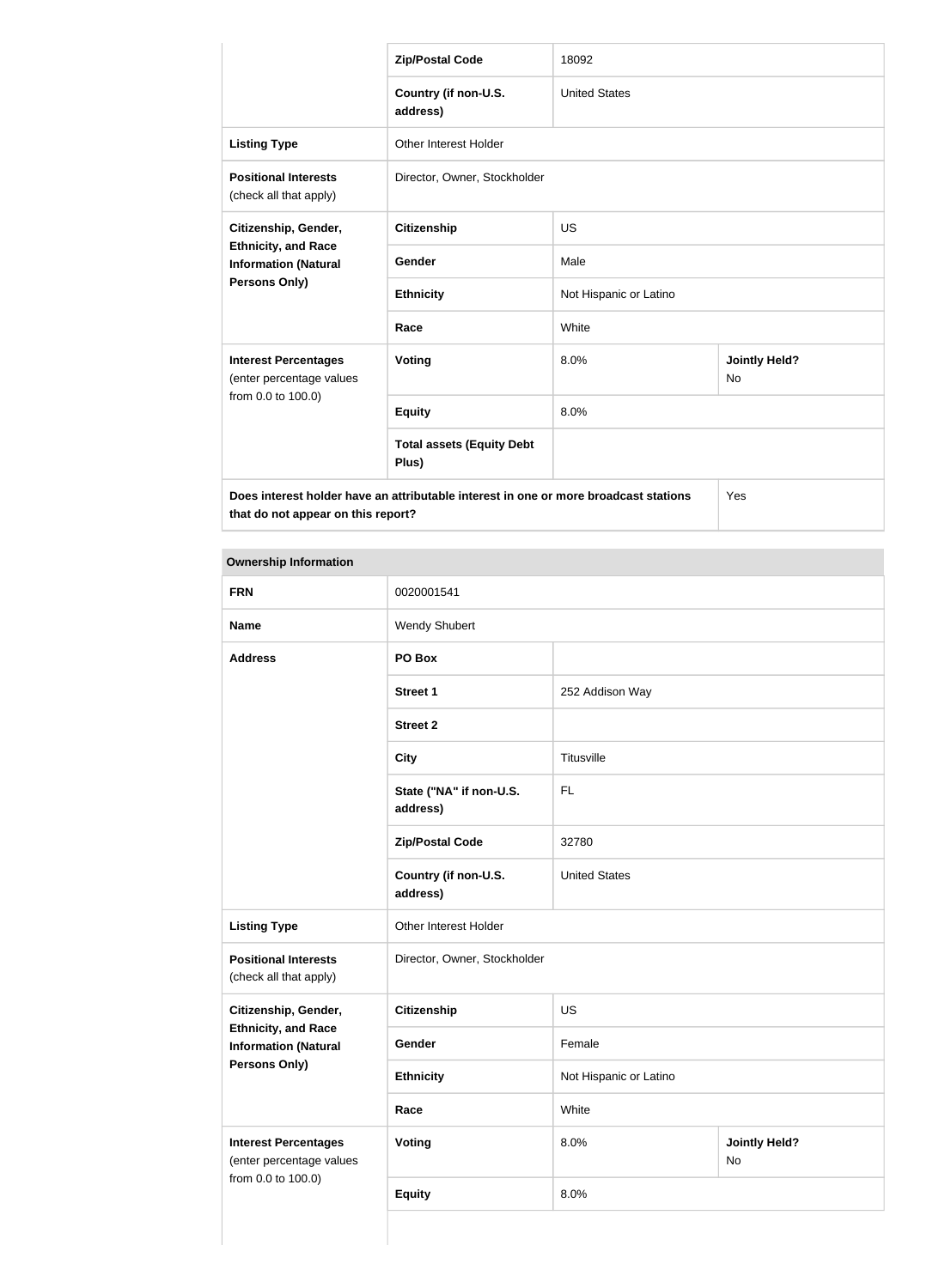|                                                                                                    | <b>Zip/Postal Code</b>                    | 18092                  |                            |  |
|----------------------------------------------------------------------------------------------------|-------------------------------------------|------------------------|----------------------------|--|
|                                                                                                    | Country (if non-U.S.<br>address)          | <b>United States</b>   |                            |  |
| <b>Listing Type</b>                                                                                | Other Interest Holder                     |                        |                            |  |
| <b>Positional Interests</b><br>(check all that apply)                                              | Director, Owner, Stockholder              |                        |                            |  |
| Citizenship, Gender,<br><b>Ethnicity, and Race</b><br><b>Information (Natural</b><br>Persons Only) | <b>Citizenship</b>                        | <b>US</b>              |                            |  |
|                                                                                                    | Gender                                    | Male                   |                            |  |
|                                                                                                    | <b>Ethnicity</b>                          | Not Hispanic or Latino |                            |  |
|                                                                                                    | Race                                      | White                  |                            |  |
| <b>Interest Percentages</b><br>(enter percentage values                                            | <b>Voting</b>                             | 8.0%                   | <b>Jointly Held?</b><br>No |  |
| from 0.0 to 100.0)                                                                                 | <b>Equity</b>                             | 8.0%                   |                            |  |
|                                                                                                    | <b>Total assets (Equity Debt</b><br>Plus) |                        |                            |  |
| Does interest holder have an attributable interest in one or more broadcast stations               |                                           |                        | Yes                        |  |

**that do not appear on this report?**

**Ownership Information FRN** 0020001541 **Name** Wendy Shubert **Address PO Box Street 1** 252 Addison Way **Street 2 City** Titusville **State ("NA" if non-U.S. address)** FL **Zip/Postal Code** 32780 **Country (if non-U.S. address)** United States **Listing Type Other Interest Holder Positional Interests** (check all that apply) Director, Owner, Stockholder **Citizenship, Gender, Ethnicity, and Race Information (Natural Persons Only) Citizenship** US Gender Female **Ethnicity** Not Hispanic or Latino **Race** White **Interest Percentages** (enter percentage values from 0.0 to 100.0) **Voting** 8.0% **Jointly Held?** No **Equity** 8.0%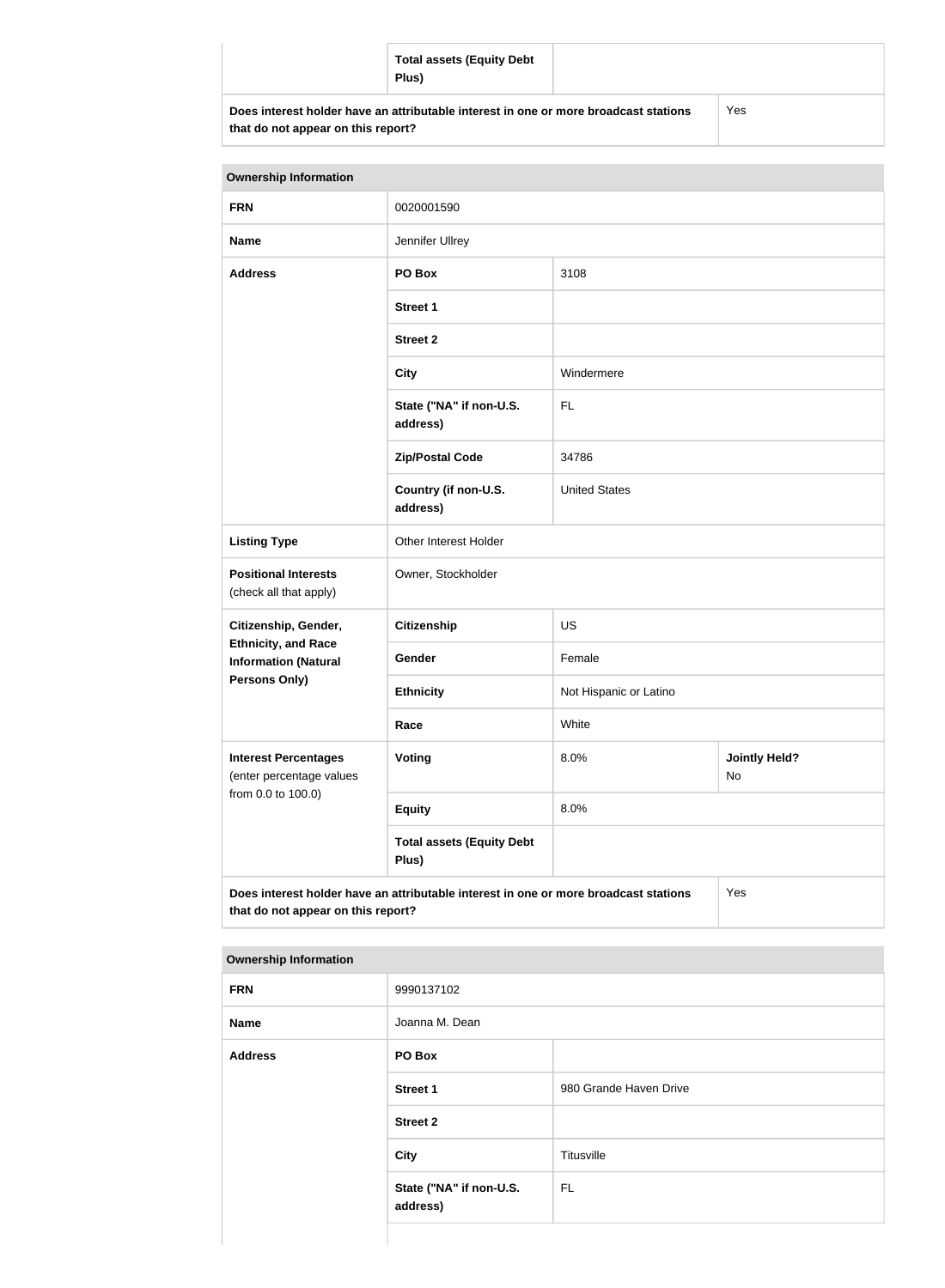| <b>Total assets (Equity Debt</b><br>Plus)                                            |     |
|--------------------------------------------------------------------------------------|-----|
| Does interest holder have an attributable interest in one or more broadcast stations | Yes |

| that do not appear on this report? |  |  |  |
|------------------------------------|--|--|--|
|------------------------------------|--|--|--|

| <b>Ownership Information</b>                                                                |                                           |                        |                            |  |
|---------------------------------------------------------------------------------------------|-------------------------------------------|------------------------|----------------------------|--|
| <b>FRN</b>                                                                                  | 0020001590                                |                        |                            |  |
| <b>Name</b>                                                                                 | Jennifer Ullrey                           |                        |                            |  |
| <b>Address</b>                                                                              | PO Box<br>3108                            |                        |                            |  |
|                                                                                             | <b>Street 1</b>                           |                        |                            |  |
|                                                                                             | <b>Street 2</b>                           |                        |                            |  |
|                                                                                             | <b>City</b>                               | Windermere             |                            |  |
|                                                                                             | State ("NA" if non-U.S.<br>address)       | <b>FL</b>              |                            |  |
|                                                                                             | <b>Zip/Postal Code</b>                    | 34786                  |                            |  |
|                                                                                             | Country (if non-U.S.<br>address)          | <b>United States</b>   |                            |  |
| <b>Listing Type</b>                                                                         | Other Interest Holder                     |                        |                            |  |
| <b>Positional Interests</b><br>(check all that apply)                                       | Owner, Stockholder                        |                        |                            |  |
| Citizenship, Gender,                                                                        | <b>Citizenship</b>                        | US                     |                            |  |
| <b>Ethnicity, and Race</b><br><b>Information (Natural</b>                                   | Gender                                    | Female                 |                            |  |
| <b>Persons Only)</b>                                                                        | <b>Ethnicity</b>                          | Not Hispanic or Latino |                            |  |
|                                                                                             | Race                                      | White                  |                            |  |
| <b>Interest Percentages</b><br>(enter percentage values                                     | Voting                                    | 8.0%                   | <b>Jointly Held?</b><br>No |  |
| from 0.0 to 100.0)                                                                          | <b>Equity</b>                             | 8.0%                   |                            |  |
|                                                                                             | <b>Total assets (Equity Debt</b><br>Plus) |                        |                            |  |
| Does interest holder have an attributable interest in one or more broadcast stations<br>Yes |                                           |                        |                            |  |

| <b>Ownership Information</b> |                                     |                        |  |
|------------------------------|-------------------------------------|------------------------|--|
| <b>FRN</b>                   | 9990137102                          |                        |  |
| <b>Name</b>                  | Joanna M. Dean                      |                        |  |
| <b>Address</b>               | PO Box                              |                        |  |
|                              | <b>Street 1</b>                     | 980 Grande Haven Drive |  |
|                              | <b>Street 2</b>                     |                        |  |
|                              | City                                | Titusville             |  |
|                              | State ("NA" if non-U.S.<br>address) | <b>FL</b>              |  |
|                              |                                     |                        |  |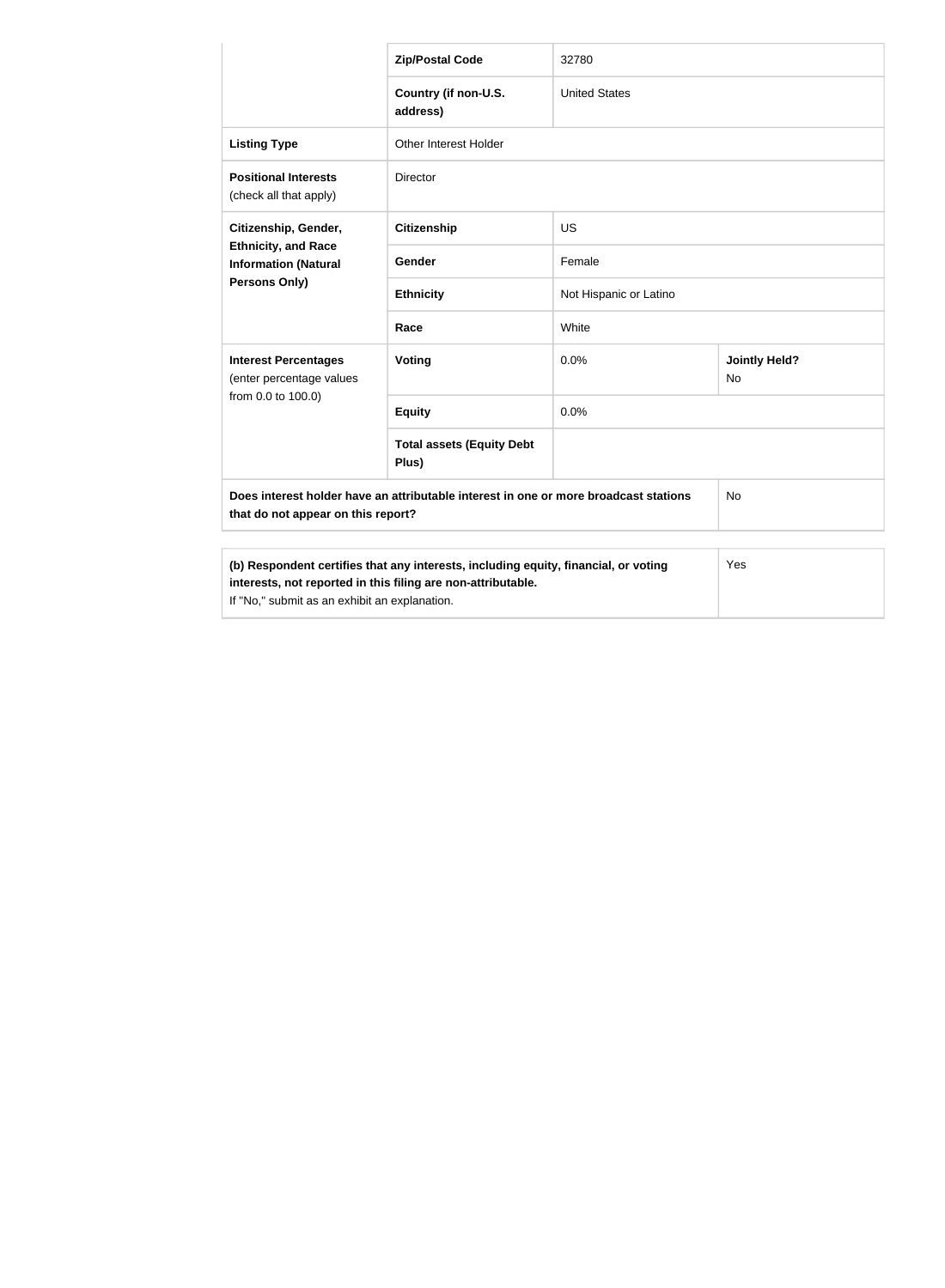|                                                                                                                                                                                                             | <b>Zip/Postal Code</b>                    | 32780                  |                                   |
|-------------------------------------------------------------------------------------------------------------------------------------------------------------------------------------------------------------|-------------------------------------------|------------------------|-----------------------------------|
|                                                                                                                                                                                                             | Country (if non-U.S.                      | <b>United States</b>   |                                   |
|                                                                                                                                                                                                             | address)                                  |                        |                                   |
| <b>Listing Type</b>                                                                                                                                                                                         | <b>Other Interest Holder</b>              |                        |                                   |
| <b>Positional Interests</b><br>(check all that apply)                                                                                                                                                       | Director                                  |                        |                                   |
| Citizenship, Gender,<br><b>Ethnicity, and Race</b><br><b>Information (Natural</b><br>Persons Only)                                                                                                          | <b>Citizenship</b>                        | <b>US</b>              |                                   |
|                                                                                                                                                                                                             | Gender                                    | Female                 |                                   |
|                                                                                                                                                                                                             | <b>Ethnicity</b>                          | Not Hispanic or Latino |                                   |
|                                                                                                                                                                                                             | Race                                      | White                  |                                   |
| <b>Interest Percentages</b><br>(enter percentage values                                                                                                                                                     | Voting                                    | 0.0%                   | <b>Jointly Held?</b><br><b>No</b> |
| from 0.0 to 100.0)                                                                                                                                                                                          | <b>Equity</b>                             | 0.0%                   |                                   |
|                                                                                                                                                                                                             | <b>Total assets (Equity Debt</b><br>Plus) |                        |                                   |
| Does interest holder have an attributable interest in one or more broadcast stations<br><b>No</b><br>that do not appear on this report?                                                                     |                                           |                        |                                   |
|                                                                                                                                                                                                             |                                           |                        |                                   |
| (b) Respondent certifies that any interests, including equity, financial, or voting<br>Yes<br>interests, not reported in this filing are non-attributable.<br>If "No," submit as an exhibit an explanation. |                                           |                        |                                   |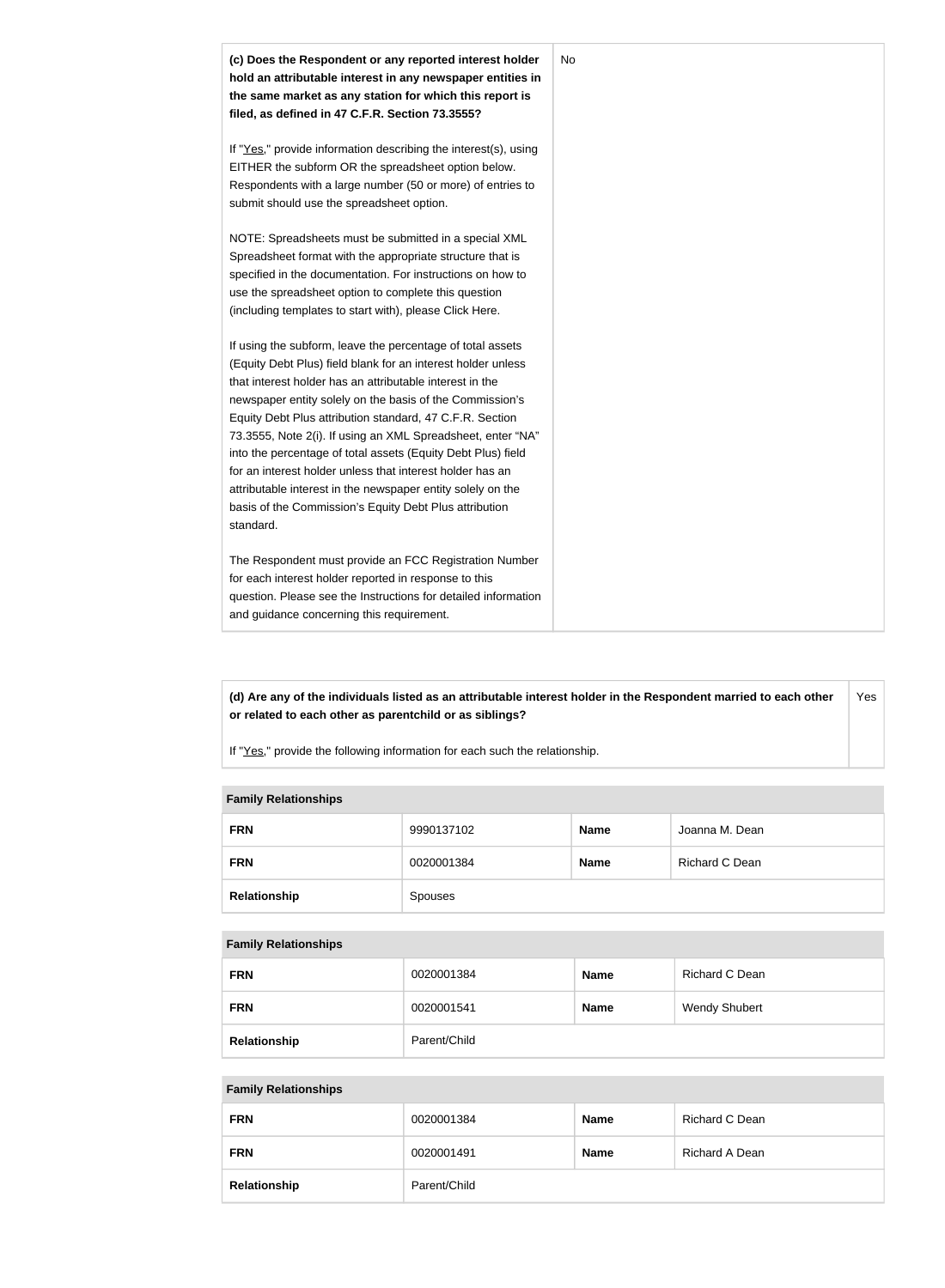

**(d) Are any of the individuals listed as an attributable interest holder in the Respondent married to each other or related to each other as parentchild or as siblings?** Yes

If "Yes," provide the following information for each such the relationship.

#### **Family Relationships**

| <b>FRN</b>   | 9990137102 | <b>Name</b> | Joanna M. Dean |
|--------------|------------|-------------|----------------|
| <b>FRN</b>   | 0020001384 | <b>Name</b> | Richard C Dean |
| Relationship | Spouses    |             |                |

#### **Family Relationships**

| <b>FRN</b>   | 0020001384   | <b>Name</b> | Richard C Dean       |
|--------------|--------------|-------------|----------------------|
| <b>FRN</b>   | 0020001541   | <b>Name</b> | <b>Wendy Shubert</b> |
| Relationship | Parent/Child |             |                      |

#### **Family Relationships**

| <b>FRN</b>   | 0020001384   | <b>Name</b> | Richard C Dean |
|--------------|--------------|-------------|----------------|
| <b>FRN</b>   | 0020001491   | <b>Name</b> | Richard A Dean |
| Relationship | Parent/Child |             |                |